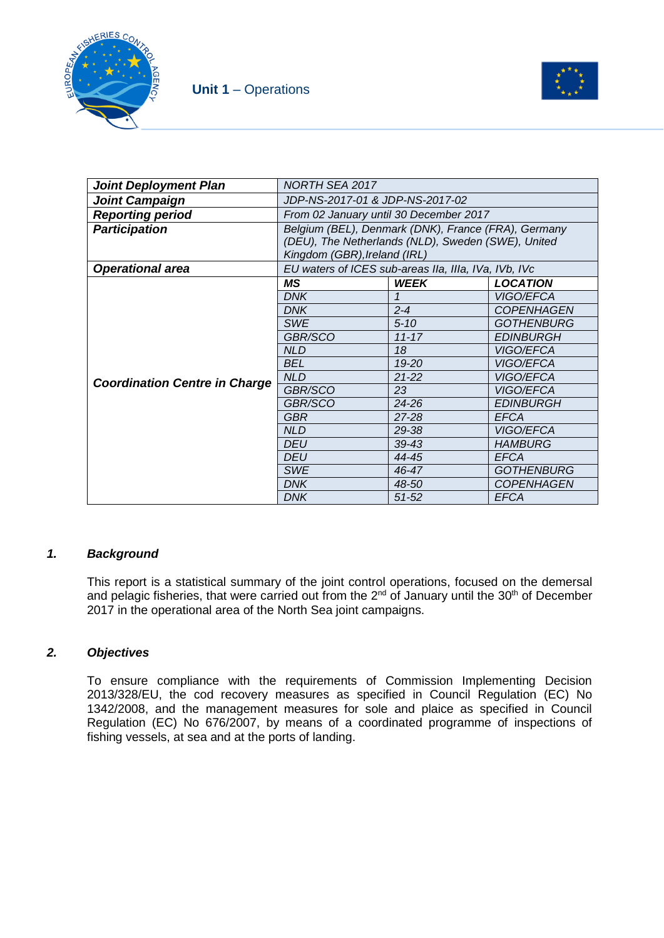



| <b>Joint Deployment Plan</b>         | NORTH SEA 2017                                       |             |                   |  |
|--------------------------------------|------------------------------------------------------|-------------|-------------------|--|
| <b>Joint Campaign</b>                | JDP-NS-2017-01 & JDP-NS-2017-02                      |             |                   |  |
| <b>Reporting period</b>              | From 02 January until 30 December 2017               |             |                   |  |
| <b>Participation</b>                 | Belgium (BEL), Denmark (DNK), France (FRA), Germany  |             |                   |  |
|                                      | (DEU), The Netherlands (NLD), Sweden (SWE), United   |             |                   |  |
|                                      | Kingdom (GBR), Ireland (IRL)                         |             |                   |  |
| <b>Operational area</b>              | EU waters of ICES sub-areas IIa, IIIa, IVa, IVb, IVc |             |                   |  |
|                                      | ΜS                                                   | <b>WEEK</b> | <b>LOCATION</b>   |  |
|                                      | DNK                                                  |             | <i>VIGO/EFCA</i>  |  |
|                                      | <b>DNK</b>                                           | $2 - 4$     | <b>COPENHAGEN</b> |  |
|                                      | <b>SWE</b>                                           | $5 - 10$    | <b>GOTHENBURG</b> |  |
|                                      | GBR/SCO                                              | $11 - 17$   | <b>EDINBURGH</b>  |  |
|                                      | <b>NLD</b>                                           | 18          | VIGO/EFCA         |  |
|                                      | <b>BEL</b>                                           | 19-20       | VIGO/EFCA         |  |
| <b>Coordination Centre in Charge</b> | NLD                                                  | $21 - 22$   | VIGO/EFCA         |  |
|                                      | GBR/SCO                                              | 23          | VIGO/EFCA         |  |
|                                      | GBR/SCO                                              | 24-26       | <b>EDINBURGH</b>  |  |
|                                      | <b>GBR</b>                                           | 27-28       | <b>EFCA</b>       |  |
|                                      | <b>NLD</b>                                           | 29-38       | VIGO/EFCA         |  |
|                                      | <b>DEU</b>                                           | $39 - 43$   | <b>HAMBURG</b>    |  |
|                                      | <b>DEU</b>                                           | 44-45       | <b>EFCA</b>       |  |
|                                      | <b>SWE</b>                                           | 46-47       | <b>GOTHENBURG</b> |  |
|                                      | <b>DNK</b>                                           | 48-50       | <b>COPENHAGEN</b> |  |
|                                      | <b>DNK</b>                                           | $51 - 52$   | <b>EFCA</b>       |  |

#### *1. Background*

This report is a statistical summary of the joint control operations, focused on the demersal and pelagic fisheries, that were carried out from the 2<sup>nd</sup> of January until the 30<sup>th</sup> of December 2017 in the operational area of the North Sea joint campaigns.

#### *2. Objectives*

To ensure compliance with the requirements of Commission Implementing Decision 2013/328/EU, the cod recovery measures as specified in Council Regulation (EC) No 1342/2008, and the management measures for sole and plaice as specified in Council Regulation (EC) No 676/2007, by means of a coordinated programme of inspections of fishing vessels, at sea and at the ports of landing.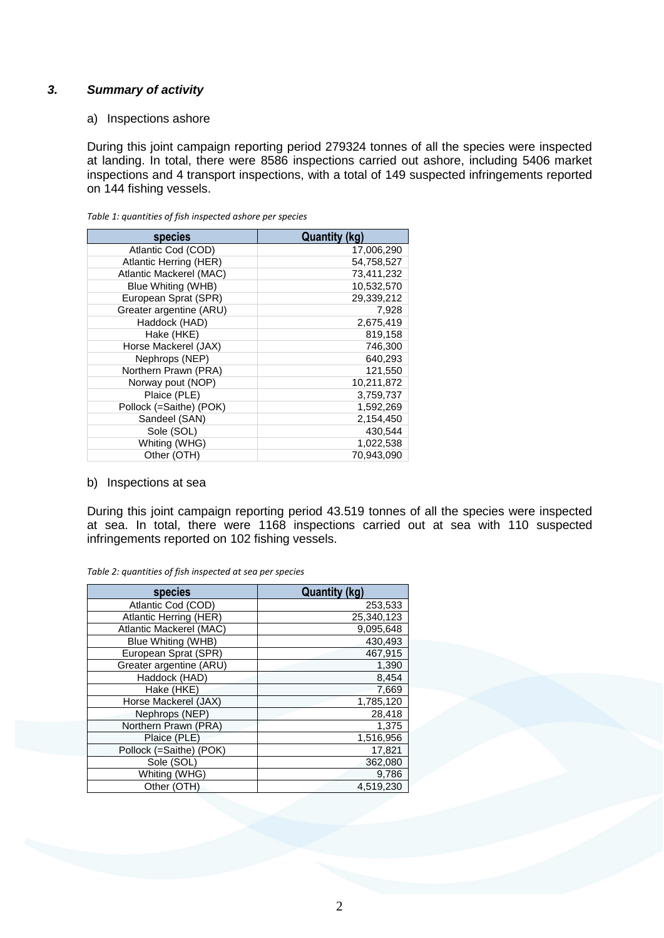#### *3. Summary of activity*

a) Inspections ashore

During this joint campaign reporting period 279324 tonnes of all the species were inspected at landing. In total, there were 8586 inspections carried out ashore, including 5406 market inspections and 4 transport inspections, with a total of 149 suspected infringements reported on 144 fishing vessels.

| species                 | <b>Quantity (kg)</b> |
|-------------------------|----------------------|
| Atlantic Cod (COD)      | 17,006,290           |
| Atlantic Herring (HER)  | 54,758,527           |
| Atlantic Mackerel (MAC) | 73,411,232           |
| Blue Whiting (WHB)      | 10,532,570           |
| European Sprat (SPR)    | 29,339,212           |
| Greater argentine (ARU) | 7,928                |
| Haddock (HAD)           | 2,675,419            |
| Hake (HKE)              | 819,158              |
| Horse Mackerel (JAX)    | 746,300              |
| Nephrops (NEP)          | 640,293              |
| Northern Prawn (PRA)    | 121,550              |
| Norway pout (NOP)       | 10,211,872           |
| Plaice (PLE)            | 3,759,737            |
| Pollock (=Saithe) (POK) | 1,592,269            |
| Sandeel (SAN)           | 2,154,450            |
| Sole (SOL)              | 430,544              |
| Whiting (WHG)           | 1,022,538            |
| Other (OTH)             | 70,943,090           |

*Table 1: quantities of fish inspected ashore per species*

#### b) Inspections at sea

During this joint campaign reporting period 43.519 tonnes of all the species were inspected at sea. In total, there were 1168 inspections carried out at sea with 110 suspected infringements reported on 102 fishing vessels.

| species                 | <b>Quantity (kg)</b> |
|-------------------------|----------------------|
| Atlantic Cod (COD)      | 253,533              |
| Atlantic Herring (HER)  | 25,340,123           |
| Atlantic Mackerel (MAC) | 9,095,648            |
| Blue Whiting (WHB)      | 430,493              |
| European Sprat (SPR)    | 467,915              |
| Greater argentine (ARU) | 1,390                |
| Haddock (HAD)           | 8,454                |
| Hake (HKE)              | 7,669                |
| Horse Mackerel (JAX)    | 1,785,120            |
| Nephrops (NEP)          | 28,418               |
| Northern Prawn (PRA)    | 1,375                |
| Plaice (PLE)            | 1,516,956            |
| Pollock (=Saithe) (POK) | 17,821               |
| Sole (SOL)              | 362,080              |
| Whiting (WHG)           | 9,786                |
| Other (OTH)             | 4.519.230            |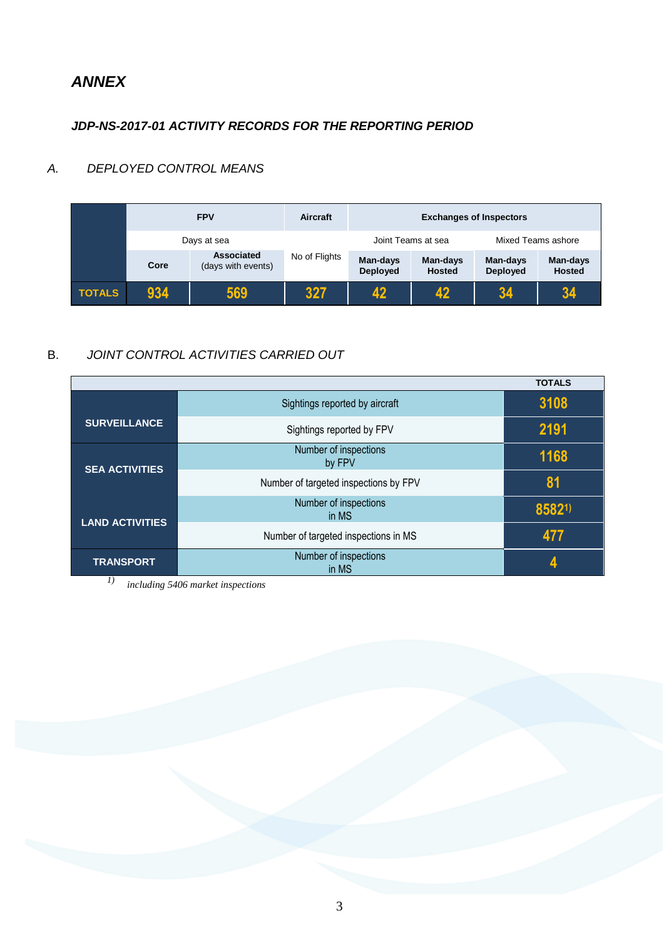# *ANNEX*

### *JDP-NS-2017-01 ACTIVITY RECORDS FOR THE REPORTING PERIOD*

### *A. DEPLOYED CONTROL MEANS*

|               |             | <b>FPV</b>                       | Aircraft      | <b>Exchanges of Inspectors</b> |                           |                             |                           |
|---------------|-------------|----------------------------------|---------------|--------------------------------|---------------------------|-----------------------------|---------------------------|
|               | Days at sea |                                  |               |                                | Joint Teams at sea        | Mixed Teams ashore          |                           |
|               | Core        | Associated<br>(days with events) | No of Flights | Man-days<br>Deployed           | Man-days<br><b>Hosted</b> | Man-days<br><b>Deployed</b> | Man-days<br><b>Hosted</b> |
| <b>TOTALS</b> | 934         | 569                              | 327           | 12                             | 42                        | 34                          | 34                        |

### B. *JOINT CONTROL ACTIVITIES CARRIED OUT*

|                        |                                       | <b>TOTALS</b> |
|------------------------|---------------------------------------|---------------|
|                        | Sightings reported by aircraft        | 3108          |
| <b>SURVEILLANCE</b>    | Sightings reported by FPV             | 2191          |
|                        | Number of inspections<br>by FPV       | 1168          |
| <b>SEA ACTIVITIES</b>  | Number of targeted inspections by FPV | 81            |
| <b>LAND ACTIVITIES</b> | Number of inspections<br>in MS        | 85821)        |
|                        | Number of targeted inspections in MS  | 477           |
| <b>TRANSPORT</b>       | Number of inspections<br>in MS        |               |

*1) including 5406 market inspections*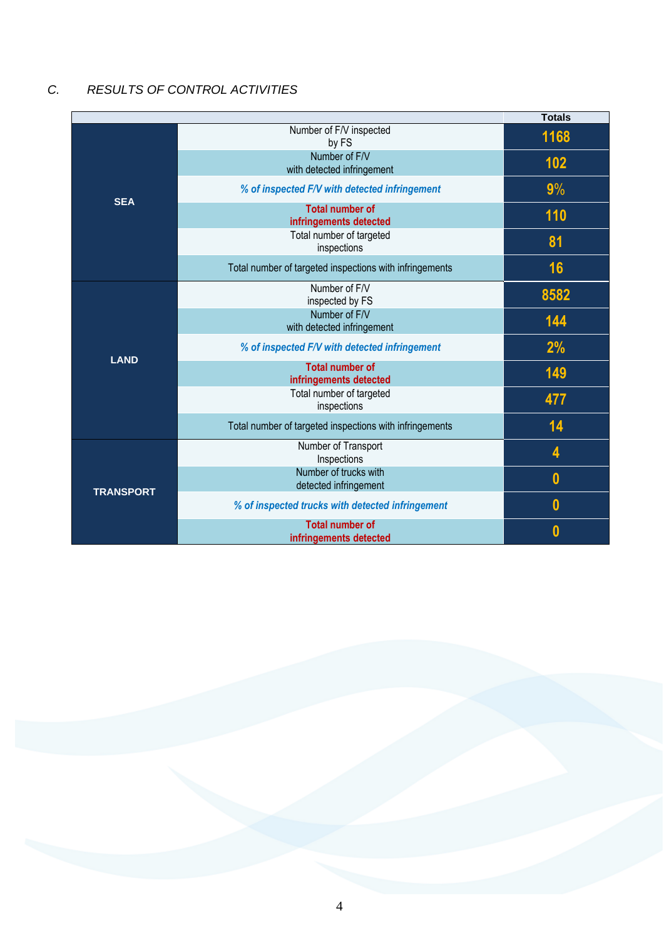### *C. RESULTS OF CONTROL ACTIVITIES*

|                  |                                                         | <b>Totals</b> |
|------------------|---------------------------------------------------------|---------------|
|                  | Number of F/V inspected<br>by FS                        | 1168          |
|                  | Number of F/V<br>with detected infringement             | 102           |
|                  | % of inspected F/V with detected infringement           | 9%            |
| <b>SEA</b>       | <b>Total number of</b><br>infringements detected        | 110           |
|                  | Total number of targeted<br>inspections                 | 81            |
|                  | Total number of targeted inspections with infringements | 16            |
|                  | Number of F/V<br>inspected by FS                        | 8582          |
|                  | Number of F/V<br>with detected infringement             | 144           |
| <b>LAND</b>      | % of inspected F/V with detected infringement           | 2%            |
|                  | <b>Total number of</b><br>infringements detected        | 149           |
|                  | Total number of targeted<br>inspections                 | 477           |
|                  | Total number of targeted inspections with infringements | 14            |
|                  | Number of Transport<br>Inspections                      | 4             |
| <b>TRANSPORT</b> | Number of trucks with<br>detected infringement          | $\bf{0}$      |
|                  | % of inspected trucks with detected infringement        | $\bf{0}$      |
|                  | <b>Total number of</b><br>infringements detected        | 0             |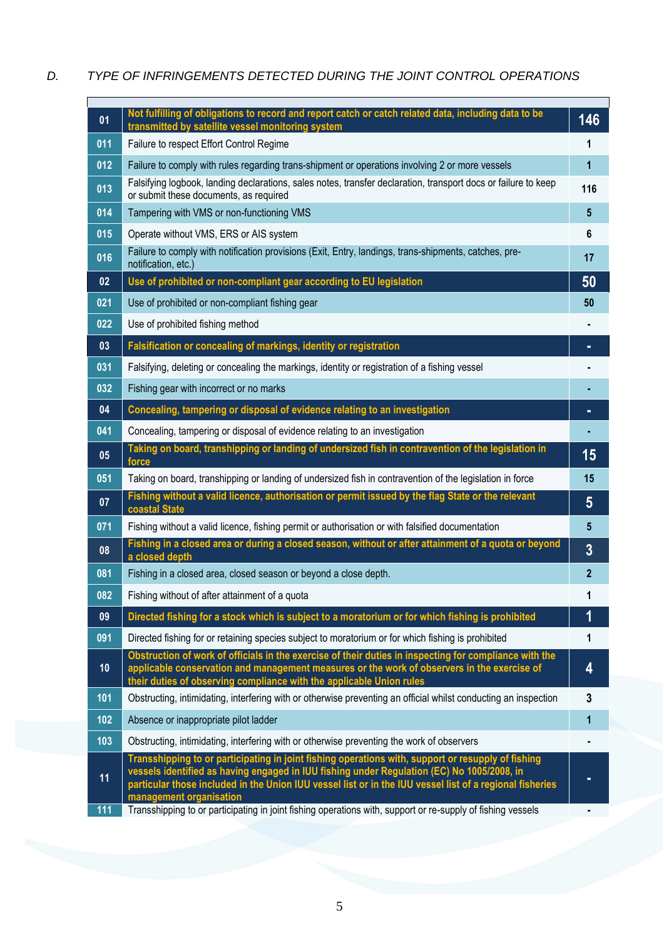## *D. TYPE OF INFRINGEMENTS DETECTED DURING THE JOINT CONTROL OPERATIONS*

| 01  | Not fulfilling of obligations to record and report catch or catch related data, including data to be                                                                                                                              | 146             |
|-----|-----------------------------------------------------------------------------------------------------------------------------------------------------------------------------------------------------------------------------------|-----------------|
| 011 | transmitted by satellite vessel monitoring system                                                                                                                                                                                 |                 |
|     | Failure to respect Effort Control Regime                                                                                                                                                                                          | 1               |
| 012 | Failure to comply with rules regarding trans-shipment or operations involving 2 or more vessels<br>Falsifying logbook, landing declarations, sales notes, transfer declaration, transport docs or failure to keep                 | 1               |
| 013 | or submit these documents, as required                                                                                                                                                                                            | 116             |
| 014 | Tampering with VMS or non-functioning VMS                                                                                                                                                                                         | $5\phantom{.0}$ |
| 015 | Operate without VMS, ERS or AIS system                                                                                                                                                                                            | 6               |
| 016 | Failure to comply with notification provisions (Exit, Entry, landings, trans-shipments, catches, pre-<br>notification, etc.)                                                                                                      | 17              |
| 02  | Use of prohibited or non-compliant gear according to EU legislation                                                                                                                                                               | 50              |
| 021 | Use of prohibited or non-compliant fishing gear                                                                                                                                                                                   | 50              |
| 022 | Use of prohibited fishing method                                                                                                                                                                                                  |                 |
| 03  | Falsification or concealing of markings, identity or registration                                                                                                                                                                 |                 |
| 031 | Falsifying, deleting or concealing the markings, identity or registration of a fishing vessel                                                                                                                                     |                 |
| 032 | Fishing gear with incorrect or no marks                                                                                                                                                                                           |                 |
| 04  | Concealing, tampering or disposal of evidence relating to an investigation                                                                                                                                                        |                 |
| 041 | Concealing, tampering or disposal of evidence relating to an investigation                                                                                                                                                        |                 |
| 05  | Taking on board, transhipping or landing of undersized fish in contravention of the legislation in<br>force                                                                                                                       | 15              |
| 051 | Taking on board, transhipping or landing of undersized fish in contravention of the legislation in force                                                                                                                          | 15              |
| 07  | Fishing without a valid licence, authorisation or permit issued by the flag State or the relevant<br>coastal State                                                                                                                | 5               |
| 071 | Fishing without a valid licence, fishing permit or authorisation or with falsified documentation                                                                                                                                  | 5               |
| 08  | Fishing in a closed area or during a closed season, without or after attainment of a quota or beyond<br>a closed depth                                                                                                            | 3               |
| 081 | Fishing in a closed area, closed season or beyond a close depth.                                                                                                                                                                  | $\mathbf{2}$    |
| 082 | Fishing without of after attainment of a quota                                                                                                                                                                                    | 1               |
| 09  | Directed fishing for a stock which is subject to a moratorium or for which fishing is prohibited                                                                                                                                  | 1               |
| 091 | Directed fishing for or retaining species subject to moratorium or for which fishing is prohibited                                                                                                                                | 1               |
| 10  | Obstruction of work of officials in the exercise of their duties in inspecting for compliance with the<br>applicable conservation and management measures or the work of observers in the exercise of                             | 4               |
|     | their duties of observing compliance with the applicable Union rules                                                                                                                                                              |                 |
| 101 | Obstructing, intimidating, interfering with or otherwise preventing an official whilst conducting an inspection                                                                                                                   | 3               |
| 102 | Absence or inappropriate pilot ladder                                                                                                                                                                                             | 1               |
| 103 | Obstructing, intimidating, interfering with or otherwise preventing the work of observers<br>Transshipping to or participating in joint fishing operations with, support or resupply of fishing                                   |                 |
| 11  | vessels identified as having engaged in IUU fishing under Regulation (EC) No 1005/2008, in<br>particular those included in the Union IUU vessel list or in the IUU vessel list of a regional fisheries<br>management organisation |                 |
| 111 | Transshipping to or participating in joint fishing operations with, support or re-supply of fishing vessels                                                                                                                       |                 |